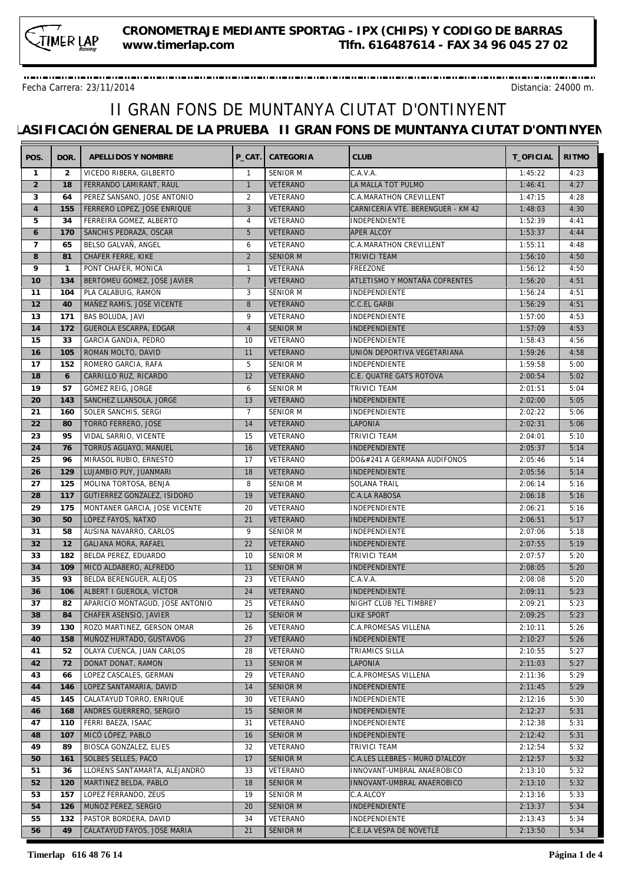Fecha Carrera: 23/11/2014 Distancia: 24000 m.

| POS.           | DOR.         | APELLIDOS Y NOMBRE              | P CAT.         | CATEGORIA            | <b>CLUB</b>                       | T OFICIAL | <b>RITMO</b> |
|----------------|--------------|---------------------------------|----------------|----------------------|-----------------------------------|-----------|--------------|
| $\mathbf{1}$   | 2            | VICEDO RIBERA, GILBERTO         | $\overline{1}$ | <b>SENIOR M</b>      | C.A.V.A.                          | 1:45:22   | 4:23         |
| $\overline{2}$ | 18           | FERRANDO LAMIRANT, RAUL         | $\overline{1}$ | VETERANO             | LA MALLA TOT PULMO                | 1:46:41   | 4:27         |
| 3              | 64           | PEREZ SANSANO, JOSE ANTONIO     | 2              | VETERANO             | C.A.MARATHON CREVILLENT           | 1:47:15   | 4:28         |
| $\overline{4}$ | 155          | FERRERO LOPEZ, JOSE ENRIQUE     | 3              | VETERANO             | CARNICERIA VTE. BERENGUER - KM 42 | 1:48:03   | 4:30         |
| 5              | 34           | FERREIRA GOMEZ, ALBERTO         | 4              | VETERANO             | INDEPENDIENTE                     | 1:52:39   | 4:41         |
| 6              | 170          | SANCHIS PEDRAZA, OSCAR          | 5              | VETERANO             | <b>APER ALCOY</b>                 | 1:53:37   | 4:44         |
| $\overline{7}$ | 65           | BELSO GALVAÑ, ANGEL             | 6              | VETERANO             | C.A.MARATHON CREVILLENT           | 1:55:11   | 4:48         |
| 8              | 81           | CHÁFER FERRE, KIKE              | 2              | <b>SENIOR M</b>      | <b>TRIVICI TEAM</b>               | 1:56:10   | 4:50         |
| 9              | $\mathbf{1}$ | PONT CHAFER, MONICA             | $\overline{1}$ | VETERANA             | FREEZONE                          | 1:56:12   | 4:50         |
| 10             | 134          | BERTOMEU GOMEZ, JOSE JAVIER     | $\overline{7}$ | VETERANO             | ATLETISMO Y MONTAÑA COFRENTES     | 1:56:20   | 4:51         |
| 11             | 104          | PLA CALABUIG, RAMON             | 3              | <b>SENIOR M</b>      | INDEPENDIENTE                     | 1:56:24   | 4:51         |
| 12             | 40           | MAÑEZ RAMIS, JOSE VICENTE       | 8              | VETERANO             | <b>C.C.EL GARBI</b>               | 1:56:29   | 4:51         |
| 13             | 171          | BAS BOLUDA, JAVI                | 9              | VETERANO             | INDEPENDIENTE                     | 1:57:00   | 4:53         |
| 14             | 172          | GUEROLA ESCARPA, EDGAR          | $\overline{4}$ | <b>SENIOR M</b>      | <b>INDEPENDIENTE</b>              | 1:57:09   | 4:53         |
| 15             | 33           | GARCIA GANDIA, PEDRO            | 10             | VETERANO             | INDEPENDIENTE                     | 1:58:43   | 4:56         |
| 16             | 105          | ROMAN MOLTO, DAVID              | 11             | <b>VETERANO</b>      | UNIÓN DEPORTIVA VEGETARIANA       | 1:59:26   | 4:58         |
| 17             | 152          | ROMERO GARCIA, RAFA             | 5              | <b>SENIOR M</b>      | INDEPENDIENTE                     | 1:59:58   | 5:00         |
| 18             | 6            | CARRILLO RUZ, RICARDO           | 12             | <b>VETERANO</b>      | C.E. QUATRE GATS ROTOVA           | 2:00:54   | 5:02         |
| 19             | 57           | GÓMEZ REIG, JORGE               | 6              | <b>SENIOR M</b>      | <b>TRIVICI TEAM</b>               | 2:01:51   | 5:04         |
| 20             | 143          | SANCHEZ LLANSOLA, JORGE         | 13             | <b>VETERANO</b>      | INDEPENDIENTE                     | 2:02:00   | 5:05         |
| 21             | 160          | SOLER SANCHIS, SERGI            | $\overline{7}$ | <b>SENIOR M</b>      | INDEPENDIENTE                     | 2:02:22   | 5:06         |
| 22             | 80           | TORRÓ FERRERO, JOSE             | 14             | VETERANO             | <b>LAPONIA</b>                    | 2:02:31   | 5:06         |
| 23             | 95           | VIDAL SARRIO, VICENTE           | 15             | VETERANO             | TRIVICI TEAM                      | 2:04:01   | 5:10         |
| 24             | 76           | TORRÚS AGUAYO, MANUEL           | 16             | <b>VETERANO</b>      | INDEPENDIENTE                     | 2:05:37   | 5:14         |
| 25             | 96           | MIRASOL RUBIO, ERNESTO          | 17             | VETERANO             | DOñ A GERMANA AUDIFONOS           | 2:05:46   | 5:14         |
| 26             | 129          | LUJAMBIO PUY, JUANMARI          | 18             | VETERANO             | INDEPENDIENTE                     | 2:05:56   | 5:14         |
| 27             | 125          | MOLINA TORTOSA, BENJA           | 8              | <b>SENIOR M</b>      | SOLANA TRAIL                      | 2:06:14   | 5:16         |
| 28             | 117          |                                 | 19             |                      |                                   | 2:06:18   | 5:16         |
| 29             | 175          | GUTIERREZ GONZALEZ, ISIDORO     | 20             | VETERANO<br>VETERANO | C.A.LA RABOSA<br>INDEPENDIENTE    | 2:06:21   | 5:16         |
|                |              | MONTANER GARCIA, JOSE VICENTE   |                |                      |                                   |           |              |
| 30             | 50           | LÓPEZ FAYOS, NATXO              | 21             | VETERANO             | INDEPENDIENTE                     | 2:06:51   | 5:17         |
| 31             | 58           | AUSINA NAVARRO, CARLOS          | 9              | <b>SENIOR M</b>      | INDEPENDIENTE                     | 2:07:06   | 5:18         |
| 32             | 12           | GALIANA MORA, RAFAEL            | 22             | VETERANO             | INDEPENDIENTE                     | 2:07:55   | 5:19         |
| 33             | 182          | BELDA PEREZ, EDUARDO            | 10             | <b>SENIOR M</b>      | TRIVICI TEAM                      | 2:07:57   | 5:20         |
| 34             | 109          | MICO ALDABERO, ALFREDO          | 11             | <b>SENIOR M</b>      | <b>INDEPENDIENTE</b>              | 2:08:05   | 5:20         |
| 35             | 93           | BELDA BERENGUER, ALEJOS         | 23             | VETERANO             | C.A.V.A.                          | 2:08:08   | 5:20         |
| 36             | 106          | ALBERT I GUEROLA, VÍCTOR        | 24             | <b>VETERANO</b>      | <b>INDEPENDIENTE</b>              | 2:09:11   | 5:23         |
| 37             | 82           | APARICIO MONTAGUD, JOSE ANTONIO | 25             | VETERANO             | NIGHT CLUB ?EL TIMBRE?            | 2:09:21   | 5:23         |
| 38             | 84           | CHAFER ASENSIO, JAVIER          | 12             | SENIOR M             | LIKE SPORT                        | 2:09:25   | 5:23         |
| 39             | 130          | ROZO MARTINEZ, GERSON OMAR      | 26             | VETERANO             | <b>C.A.PROMESAS VILLENA</b>       | 2:10:11   | 5:26         |
| 40             | 158          | MUÑOZ HURTADO, GUSTAVOG         | 27             | VETERANO             | <b>INDEPENDIENTE</b>              | 2:10:27   | 5:26         |
| 41             | 52           | OLAYA CUENCA, JUAN CARLOS       | 28             | VETERANO             | TRIAMICS SILLA                    | 2:10:55   | 5:27         |
| 42             | 72           | DONAT DONAT, RAMON              | 13             | <b>SENIOR M</b>      | <b>LAPONIA</b>                    | 2:11:03   | 5:27         |
| 43             | 66           | LOPEZ CASCALES, GERMAN          | 29             | VETERANO             | C.A.PROMESAS VILLENA              | 2:11:36   | 5:29         |
| 44             | 146          | LOPEZ SANTAMARIA, DAVID         | 14             | <b>SENIOR M</b>      | <b>INDEPENDIENTE</b>              | 2:11:45   | 5:29         |
| 45             | 145          | CALATAYUD TORRO, ENRIQUE        | 30             | VETERANO             | INDEPENDIENTE                     | 2:12:16   | 5:30         |
| 46             | 168          | ANDRES GUERRERO, SERGIO         | 15             | <b>SENIOR M</b>      | <b>INDEPENDIENTE</b>              | 2:12:27   | 5:31         |
| 47             | 110          | FERRI BAEZA, ISAAC              | 31             | VETERANO             | INDEPENDIENTE                     | 2:12:38   | 5:31         |
| 48             | 107          | MICÓ LÓPEZ, PABLO               | 16             | <b>SENIOR M</b>      | INDEPENDIENTE                     | 2:12:42   | 5:31         |
| 49             | 89           | BIOSCA GONZALEZ, ELIES          | 32             | VETERANO             | TRIVICI TEAM                      | 2:12:54   | 5:32         |
| 50             | 161          | SOLBES SELLES, PACO             | 17             | <b>SENIOR M</b>      | C.A.LES LLEBRES - MURO D?ALCOY    | 2:12:57   | 5:32         |
| 51             | 36           | LLORENS SANTAMARTA, ALEJANDRO   | 33             | VETERANO             | INNOVANT-UMBRAL ANAEROBICO        | 2:13:10   | 5:32         |
| 52             | 120          | MARTINEZ BELDA, PABLO           | 18             | <b>SENIOR M</b>      | INNOVANT-UMBRAL ANAEROBICO        | 2:13:10   | 5:32         |
| 53             | 157          | LOPEZ FERRANDO, ZEUS            | 19             | SENIOR M             | C.A.ALCOY                         | 2:13:16   | 5:33         |
| 54             | 126          | MUÑOZ PÉREZ, SERGIO             | 20             | <b>SENIOR M</b>      | <b>INDEPENDIENTE</b>              | 2:13:37   | 5:34         |
| 55             | 132          | PASTOR BORDERA, DAVID           | 34             | VETERANO             | INDEPENDIENTE                     | 2:13:43   | 5:34         |
| 56             | 49           | CALATAYUD FAYOS, JOSE MARIA     | 21             | <b>SENIOR M</b>      | C.E.LA VESPA DE NOVETLÈ           | 2:13:50   | 5:34         |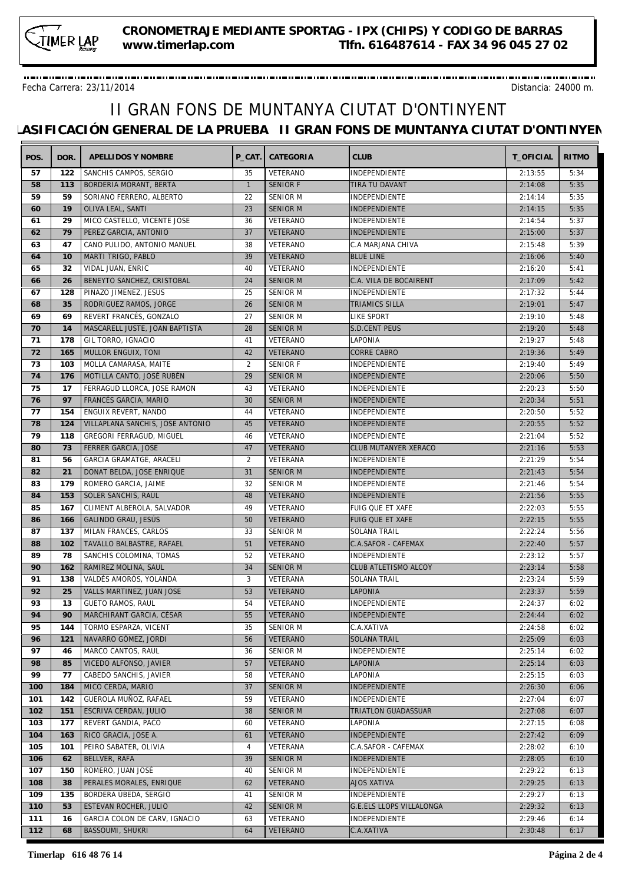Fecha Carrera: 23/11/2014 Distancia: 24000 m.

| POS.     | DOR. | APELLIDOS Y NOMBRE                         | P CAT.         | CATEGORIA       | <b>CLUB</b>                     | T OFICIAL | <b>RITMO</b> |
|----------|------|--------------------------------------------|----------------|-----------------|---------------------------------|-----------|--------------|
| 57       | 122  | SANCHIS CAMPOS, SERGIO                     | 35             | VETERANO        | INDEPENDIENTE                   | 2:13:55   | 5:34         |
| 58       | 113  | BORDERIA MORANT, BERTA                     | $\overline{1}$ | <b>SENIOR F</b> | TIRA TU DAVANT                  | 2:14:08   | 5:35         |
| 59       | 59   | SORIANO FERRERO, ALBERTO                   | 22             | <b>SENIOR M</b> | INDEPENDIENTE                   | 2:14:14   | 5:35         |
| 60       | 19   | OLIVA LEAL, SANTI                          | 23             | <b>SENIOR M</b> | INDEPENDIENTE                   | 2:14:15   | 5:35         |
| 61       | 29   | MICO CASTELLO, VICENTE JOSE                | 36             | VETERANO        | INDEPENDIENTE                   | 2:14:54   | 5:37         |
| 62       | 79   | PEREZ GARCIA, ANTONIO                      | 37             | <b>VETERANO</b> | INDEPENDIENTE                   | 2:15:00   | 5:37         |
| 63       | 47   | CANO PULIDO, ANTONIO MANUEL                | 38             | VETERANO        | C.A MARJANA CHIVA               | 2:15:48   | 5:39         |
| 64       | 10   | MARTI TRIGO, PABLO                         | 39             | VETERANO        | <b>BLUE LINE</b>                | 2:16:06   | 5:40         |
| 65       | 32   | VIDAL JUAN, ENRIC                          | 40             | VETERANO        | INDEPENDIENTE                   | 2:16:20   | 5:41         |
| 66       | 26   | BENEYTO SANCHEZ, CRISTOBAL                 | 24             | <b>SENIOR M</b> | C.A. VILA DE BOCAIRENT          | 2:17:09   | 5:42         |
| 67       | 128  | PINAZO JIMENEZ, JESUS                      | 25             | <b>SENIOR M</b> | INDEPENDIENTE                   | 2:17:32   | 5:44         |
| 68       | 35   | RODRIGUEZ RAMOS, JORGE                     | 26             | <b>SENIOR M</b> | TRIAMICS SILLA                  | 2:19:01   | 5:47         |
|          |      |                                            |                |                 |                                 |           |              |
| 69       | 69   | REVERT FRANCÉS, GONZALO                    | 27             | SENIOR M        | LIKE SPORT                      | 2:19:10   | 5:48         |
| 70       | 14   | MASCARELL JUSTE, JOAN BAPTISTA             | 28             | <b>SENIOR M</b> | S.D.CENT PEUS                   | 2:19:20   | 5:48         |
| 71       | 178  | GIL TORRO, IGNACIO                         | 41             | VETERANO        | LAPONIA                         | 2:19:27   | 5:48         |
| 72       | 165  | MULLOR ENGUIX, TONI                        | 42             | VETERANO        | <b>CORRE CABRO</b>              | 2:19:36   | 5:49         |
| 73       | 103  | MOLLA CAMARASA, MAITE                      | 2              | <b>SENIOR F</b> | INDEPENDIENTE                   | 2:19:40   | 5:49         |
| 74       | 176  | MOTILLA CANTO, JOSÉ RUBÉN                  | 29             | <b>SENIOR M</b> | INDEPENDIENTE                   | 2:20:06   | 5:50         |
| 75       | 17   | FERRAGUD LLORCA. JOSE RAMON                | 43             | VETERANO        | INDEPENDIENTE                   | 2:20:23   | 5:50         |
| 76       | 97   | FRANCÉS GARCIA, MARIO                      | 30             | <b>SENIOR M</b> | INDEPENDIENTE                   | 2:20:34   | 5:51         |
| 77       | 154  | ENGUIX REVERT, NANDO                       | 44             | VETERANO        | INDEPENDIENTE                   | 2:20:50   | 5:52         |
| 78       | 124  | VILLAPLANA SANCHIS, JOSE ANTONIO           | 45             | VETERANO        | INDEPENDIENTE                   | 2:20:55   | 5:52         |
| 79       | 118  | GREGORI FERRAGUD, MIGUEL                   | 46             | VETERANO        | INDEPENDIENTE                   | 2:21:04   | 5:52         |
| 80       | 73   | FERRER GARCIA, JOSE                        | 47             | VETERANO        | CLUB MUTANYER XERACO            | 2:21:16   | 5:53         |
| 81       | 56   | GARCIA GRAMATGE, ARACELI                   | 2              | VETERANA        | INDEPENDIENTE                   | 2:21:29   | 5:54         |
| 82       | 21   | DONAT BELDA, JOSE ENRIQUE                  | 31             | <b>SENIOR M</b> | INDEPENDIENTE                   | 2:21:43   | 5:54         |
| 83       | 179  | ROMERO GARCIA, JAIME                       | 32             | SENIOR M        | INDEPENDIENTE                   | 2:21:46   | 5:54         |
| 84       | 153  | SOLER SANCHIS, RAÚL                        | 48             | VETERANO        | INDEPENDIENTE                   | 2:21:56   | 5:55         |
| 85       | 167  | CLIMENT ALBEROLA, SALVADOR                 | 49             | VETERANO        | FUIG QUE ET XAFE                | 2:22:03   | 5:55         |
| 86       | 166  | GALINDO GRAU, JESÚS                        | 50             | VETERANO        | FUIG QUE ET XAFE                | 2:22:15   | 5:55         |
| 87       | 137  | MILAN FRANCES, CARLOS                      | 33             | <b>SENIOR M</b> | SOLANA TRAIL                    | 2:22:24   | 5:56         |
| 88       | 102  | TAVALLO BALBASTRE, RAFAEL                  | 51             | VETERANO        | C.A.SAFOR - CAFEMAX             | 2:22:40   | 5:57         |
| 89       | 78   | SANCHIS COLOMINA, TOMAS                    | 52             | VETERANO        | INDEPENDIENTE                   | 2:23:12   | 5:57         |
| 90       | 162  | RAMIREZ MOLINA, SAUL                       | 34             | <b>SENIOR M</b> | CLUB ATLETISMO ALCOY            | 2:23:14   | 5:58         |
| 91       | 138  | VALDÉS AMORÓS, YOLANDA                     | 3              | VETERANA        | SOLANA TRAIL                    | 2:23:24   | 5:59         |
| 92       | 25   | VALLS MARTINEZ, JUAN JOSE                  | 53             | VETERANO        | LAPONIA                         | 2:23:37   | 5:59         |
| 93       | 13   | <b>GUETO RAMOS, RAUL</b>                   | 54             | VETERANO        | INDEPENDIENTE                   | 2:24:37   | 6:02         |
| 94       |      | 90   MARCHIRANT GARCIA, CÈSAR              | 55             | VETERANO        | INDEPENDIENTE                   | 2:24:44   | 6:02         |
| 95       | 144  | TORMO ESPARZA, VICENT                      | 35             | SENIOR M        | C.A.XATIVA                      | 2:24:58   | 6:02         |
|          |      |                                            | 56             |                 | <b>SOLANA TRAIL</b>             |           |              |
| 96<br>97 | 121  | NAVARRO GÓMEZ, JORDI<br>MARCO CANTOS, RAUL |                | VETERANO        | INDEPENDIENTE                   | 2:25:09   | 6:03         |
|          | 46   |                                            | 36             | SENIOR M        |                                 | 2:25:14   | 6:02         |
| 98       | 85   | VICEDO ALFONSO, JAVIER                     | 57             | VETERANO        | LAPONIA                         | 2:25:14   | 6:03         |
| 99       | 77   | CABEDO SANCHIS, JAVIER                     | 58             | VETERANO        | LAPONIA                         | 2:25:15   | 6:03         |
| 100      | 184  | MICO CERDA, MARIO                          | 37             | <b>SENIOR M</b> | INDEPENDIENTE                   | 2:26:30   | 6:06         |
| 101      | 142  | GUEROLA MUÑOZ, RAFAEL                      | 59             | VETERANO        | INDEPENDIENTE                   | 2:27:04   | 6:07         |
| 102      | 151  | ESCRIVA CERDAN, JULIO                      | 38             | <b>SENIOR M</b> | TRIATLON GUADASSUAR             | 2:27:08   | 6:07         |
| 103      | 177  | REVERT GANDIA, PACO                        | 60             | VETERANO        | LAPONIA                         | 2:27:15   | 6:08         |
| 104      | 163  | RICO GRACIA, JOSE A.                       | 61             | VETERANO        | INDEPENDIENTE                   | 2:27:42   | 6:09         |
| 105      | 101  | PEIRO SABATER, OLIVIA                      | 4              | VETERANA        | C.A.SAFOR - CAFEMAX             | 2:28:02   | 6:10         |
| 106      | 62   | BELLVER, RAFA                              | 39             | <b>SENIOR M</b> | INDEPENDIENTE                   | 2:28:05   | 6:10         |
| 107      | 150  | ROMERO, JUAN JOSÉ                          | 40             | SENIOR M        | INDEPENDIENTE                   | 2:29:22   | 6:13         |
| 108      | 38   | PERALES MORALES, ENRIQUE                   | 62             | VETERANO        | <b>AJOS XATIVA</b>              | 2:29:25   | 6:13         |
| 109      | 135  | BORDERA ÚBEDA, SERGIO                      | 41             | SENIOR M        | INDEPENDIENTE                   | 2:29:27   | 6:13         |
| 110      | 53   | ESTEVAN ROCHER, JULIO                      | 42             | <b>SENIOR M</b> | <b>G.E.ELS LLOPS VILLALONGA</b> | 2:29:32   | 6:13         |
| 111      | 16   | GARCIA COLON DE CARV, IGNACIO              | 63             | VETERANO        | INDEPENDIENTE                   | 2:29:46   | 6:14         |
| 112      | 68   | <b>BASSOUMI, SHUKRI</b>                    | 64             | VETERANO        | C.A.XATIVA                      | 2:30:48   | 6:17         |
|          |      |                                            |                |                 |                                 |           |              |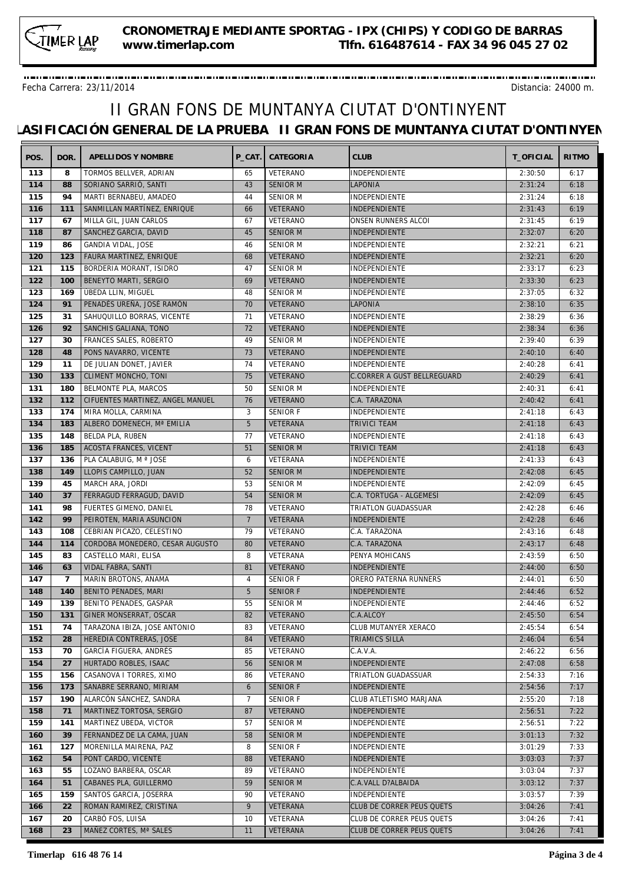Fecha Carrera: 23/11/2014 Distancia: 24000 m.

| VETERANO<br>113<br>TORMOS BELLVER, ADRIAN<br>INDEPENDIENTE<br>2:30:50<br>8<br>65<br>6:17<br>114<br>88<br>SORIANO SARRIÓ, SANTI<br>43<br><b>SENIOR M</b><br>LAPONIA<br>2:31:24<br>6:18<br>115<br>94<br>MARTI BERNABEU, AMADEO<br><b>SENIOR M</b><br><b>INDEPENDIENTE</b><br>44<br>2:31:24<br>6:18<br>6:19<br>116<br>111<br>SANMILLAN MARTÍNEZ, ENRIQUE<br><b>VETERANO</b><br><b>INDEPENDIENTE</b><br>2:31:43<br>66<br>117<br>MILLA GIL, JUAN CARLOS<br>VETERANO<br>2:31:45<br>6:19<br>67<br>ONSEN RUNNERS ALCOI<br>67<br>118<br><b>SENIOR M</b><br>2:32:07<br>87<br>SANCHEZ GARCIA, DAVID<br>45<br>INDEPENDIENTE<br>6:20<br>119<br>SENIOR M<br>6:21<br>86<br>GANDIA VIDAL, JOSE<br>46<br>INDEPENDIENTE<br>2:32:21<br>120<br>6:20<br>123<br>FAURA MARTÍNEZ, ENRIQUE<br>68<br>VETERANO<br>INDEPENDIENTE<br>2:32:21<br>121<br>115<br>BORDERIA MORANT, ISIDRO<br>2:33:17<br>6:23<br>47<br>SENIOR M<br>INDEPENDIENTE<br>122<br>100<br>BENEYTO MARTI, SERGIO<br>69<br><b>VETERANO</b><br>INDEPENDIENTE<br>2:33:30<br>6:23<br>123<br>169<br>ÚBEDA LLIN, MIGUEL<br><b>SENIOR M</b><br>48<br>INDEPENDIENTE<br>2:37:05<br>6:32<br>124<br>91<br>PENADÉS UREÑA, JOSÉ RAMÓN<br>70<br>VETERANO<br>LAPONIA<br>2:38:10<br>6:35<br>125<br>VETERANO<br>INDEPENDIENTE<br>31<br>SAHUQUILLO BORRAS, VICENTE<br>71<br>2:38:29<br>6:36<br>126<br>6:36<br>92<br>SANCHIS GALIANA, TONO<br>72<br>VETERANO<br><b>INDEPENDIENTE</b><br>2:38:34<br>127<br>FRANCES SALES, ROBERTO<br><b>SENIOR M</b><br>INDEPENDIENTE<br>2:39:40<br>6:39<br>30<br>49<br>128<br>48<br>PONS NAVARRO, VICENTE<br>73<br>VETERANO<br>INDEPENDIENTE<br>2:40:10<br>6:40 |
|-------------------------------------------------------------------------------------------------------------------------------------------------------------------------------------------------------------------------------------------------------------------------------------------------------------------------------------------------------------------------------------------------------------------------------------------------------------------------------------------------------------------------------------------------------------------------------------------------------------------------------------------------------------------------------------------------------------------------------------------------------------------------------------------------------------------------------------------------------------------------------------------------------------------------------------------------------------------------------------------------------------------------------------------------------------------------------------------------------------------------------------------------------------------------------------------------------------------------------------------------------------------------------------------------------------------------------------------------------------------------------------------------------------------------------------------------------------------------------------------------------------------------------------------------------------------------------------------------------------------|
|                                                                                                                                                                                                                                                                                                                                                                                                                                                                                                                                                                                                                                                                                                                                                                                                                                                                                                                                                                                                                                                                                                                                                                                                                                                                                                                                                                                                                                                                                                                                                                                                                   |
|                                                                                                                                                                                                                                                                                                                                                                                                                                                                                                                                                                                                                                                                                                                                                                                                                                                                                                                                                                                                                                                                                                                                                                                                                                                                                                                                                                                                                                                                                                                                                                                                                   |
|                                                                                                                                                                                                                                                                                                                                                                                                                                                                                                                                                                                                                                                                                                                                                                                                                                                                                                                                                                                                                                                                                                                                                                                                                                                                                                                                                                                                                                                                                                                                                                                                                   |
|                                                                                                                                                                                                                                                                                                                                                                                                                                                                                                                                                                                                                                                                                                                                                                                                                                                                                                                                                                                                                                                                                                                                                                                                                                                                                                                                                                                                                                                                                                                                                                                                                   |
|                                                                                                                                                                                                                                                                                                                                                                                                                                                                                                                                                                                                                                                                                                                                                                                                                                                                                                                                                                                                                                                                                                                                                                                                                                                                                                                                                                                                                                                                                                                                                                                                                   |
|                                                                                                                                                                                                                                                                                                                                                                                                                                                                                                                                                                                                                                                                                                                                                                                                                                                                                                                                                                                                                                                                                                                                                                                                                                                                                                                                                                                                                                                                                                                                                                                                                   |
|                                                                                                                                                                                                                                                                                                                                                                                                                                                                                                                                                                                                                                                                                                                                                                                                                                                                                                                                                                                                                                                                                                                                                                                                                                                                                                                                                                                                                                                                                                                                                                                                                   |
|                                                                                                                                                                                                                                                                                                                                                                                                                                                                                                                                                                                                                                                                                                                                                                                                                                                                                                                                                                                                                                                                                                                                                                                                                                                                                                                                                                                                                                                                                                                                                                                                                   |
|                                                                                                                                                                                                                                                                                                                                                                                                                                                                                                                                                                                                                                                                                                                                                                                                                                                                                                                                                                                                                                                                                                                                                                                                                                                                                                                                                                                                                                                                                                                                                                                                                   |
|                                                                                                                                                                                                                                                                                                                                                                                                                                                                                                                                                                                                                                                                                                                                                                                                                                                                                                                                                                                                                                                                                                                                                                                                                                                                                                                                                                                                                                                                                                                                                                                                                   |
|                                                                                                                                                                                                                                                                                                                                                                                                                                                                                                                                                                                                                                                                                                                                                                                                                                                                                                                                                                                                                                                                                                                                                                                                                                                                                                                                                                                                                                                                                                                                                                                                                   |
|                                                                                                                                                                                                                                                                                                                                                                                                                                                                                                                                                                                                                                                                                                                                                                                                                                                                                                                                                                                                                                                                                                                                                                                                                                                                                                                                                                                                                                                                                                                                                                                                                   |
|                                                                                                                                                                                                                                                                                                                                                                                                                                                                                                                                                                                                                                                                                                                                                                                                                                                                                                                                                                                                                                                                                                                                                                                                                                                                                                                                                                                                                                                                                                                                                                                                                   |
|                                                                                                                                                                                                                                                                                                                                                                                                                                                                                                                                                                                                                                                                                                                                                                                                                                                                                                                                                                                                                                                                                                                                                                                                                                                                                                                                                                                                                                                                                                                                                                                                                   |
|                                                                                                                                                                                                                                                                                                                                                                                                                                                                                                                                                                                                                                                                                                                                                                                                                                                                                                                                                                                                                                                                                                                                                                                                                                                                                                                                                                                                                                                                                                                                                                                                                   |
|                                                                                                                                                                                                                                                                                                                                                                                                                                                                                                                                                                                                                                                                                                                                                                                                                                                                                                                                                                                                                                                                                                                                                                                                                                                                                                                                                                                                                                                                                                                                                                                                                   |
| 129<br>11<br>DE JULIAN DONET, JAVIER<br>74<br>VETERANO<br><b>INDEPENDIENTE</b><br>2:40:28<br>6:41                                                                                                                                                                                                                                                                                                                                                                                                                                                                                                                                                                                                                                                                                                                                                                                                                                                                                                                                                                                                                                                                                                                                                                                                                                                                                                                                                                                                                                                                                                                 |
| 130<br>133<br><b>CLIMENT MONCHO, TONI</b><br>75<br>VETERANO<br>C.CORRER A GUST BELLREGUARD<br>2:40:29<br>6:41                                                                                                                                                                                                                                                                                                                                                                                                                                                                                                                                                                                                                                                                                                                                                                                                                                                                                                                                                                                                                                                                                                                                                                                                                                                                                                                                                                                                                                                                                                     |
| 131<br>180<br>BELMONTE PLA, MARCOS<br>50<br><b>SENIOR M</b><br><b>INDEPENDIENTE</b><br>6:41<br>2:40:31                                                                                                                                                                                                                                                                                                                                                                                                                                                                                                                                                                                                                                                                                                                                                                                                                                                                                                                                                                                                                                                                                                                                                                                                                                                                                                                                                                                                                                                                                                            |
| 132<br>CIFUENTES MARTINEZ, ANGEL MANUEL<br>112<br>76<br><b>VETERANO</b><br>C.A. TARAZONA<br>2:40:42<br>6:41                                                                                                                                                                                                                                                                                                                                                                                                                                                                                                                                                                                                                                                                                                                                                                                                                                                                                                                                                                                                                                                                                                                                                                                                                                                                                                                                                                                                                                                                                                       |
| 133<br>174<br>3<br><b>SENIOR F</b><br>MIRA MOLLA, CARMINA<br>INDEPENDIENTE<br>2:41:18<br>6:43                                                                                                                                                                                                                                                                                                                                                                                                                                                                                                                                                                                                                                                                                                                                                                                                                                                                                                                                                                                                                                                                                                                                                                                                                                                                                                                                                                                                                                                                                                                     |
| 134<br>183<br>ALBERO DOMENECH, Mª EMILIA<br>5<br><b>VETERANA</b><br>TRIVICI TEAM<br>2:41:18<br>6:43                                                                                                                                                                                                                                                                                                                                                                                                                                                                                                                                                                                                                                                                                                                                                                                                                                                                                                                                                                                                                                                                                                                                                                                                                                                                                                                                                                                                                                                                                                               |
| 135<br>VETERANO<br>148<br>BELDA PLA, RUBEN<br>77<br>INDEPENDIENTE<br>2:41:18<br>6:43                                                                                                                                                                                                                                                                                                                                                                                                                                                                                                                                                                                                                                                                                                                                                                                                                                                                                                                                                                                                                                                                                                                                                                                                                                                                                                                                                                                                                                                                                                                              |
| 136<br>185<br><b>ACOSTA FRANCES, VICENT</b><br>51<br><b>SENIOR M</b><br>TRIVICI TEAM<br>2:41:18<br>6:43                                                                                                                                                                                                                                                                                                                                                                                                                                                                                                                                                                                                                                                                                                                                                                                                                                                                                                                                                                                                                                                                                                                                                                                                                                                                                                                                                                                                                                                                                                           |
| 137<br>136<br>PLA CALABUIG, M ª JOSE<br>VETERANA<br>2:41:33<br>6:43<br>INDEPENDIENTE<br>6                                                                                                                                                                                                                                                                                                                                                                                                                                                                                                                                                                                                                                                                                                                                                                                                                                                                                                                                                                                                                                                                                                                                                                                                                                                                                                                                                                                                                                                                                                                         |
| 138<br><b>SENIOR M</b><br>149<br>LLOPIS CAMPILLO, JUAN<br>52<br>INDEPENDIENTE<br>2:42:08<br>6:45                                                                                                                                                                                                                                                                                                                                                                                                                                                                                                                                                                                                                                                                                                                                                                                                                                                                                                                                                                                                                                                                                                                                                                                                                                                                                                                                                                                                                                                                                                                  |
| 139<br>45<br>MARCH ARA, JORDI<br>53<br><b>SENIOR M</b><br>6:45<br>INDEPENDIENTE<br>2:42:09                                                                                                                                                                                                                                                                                                                                                                                                                                                                                                                                                                                                                                                                                                                                                                                                                                                                                                                                                                                                                                                                                                                                                                                                                                                                                                                                                                                                                                                                                                                        |
| 140<br>54<br>6:45<br>37<br>FERRAGUD FERRAGUD, DAVID<br><b>SENIOR M</b><br>C.A. TORTUGA - ALGEMESÍ<br>2:42:09                                                                                                                                                                                                                                                                                                                                                                                                                                                                                                                                                                                                                                                                                                                                                                                                                                                                                                                                                                                                                                                                                                                                                                                                                                                                                                                                                                                                                                                                                                      |
| 98<br>FUERTES GIMENO, DANIEL<br>78<br>2:42:28<br>6:46<br>141<br>VETERANO<br>TRIATLON GUADASSUAR                                                                                                                                                                                                                                                                                                                                                                                                                                                                                                                                                                                                                                                                                                                                                                                                                                                                                                                                                                                                                                                                                                                                                                                                                                                                                                                                                                                                                                                                                                                   |
| 142<br>99<br>$7\overline{ }$<br>PEIROTEN, MARIA ASUNCION<br>VETERANA<br>INDEPENDIENTE<br>2:42:28<br>6:46                                                                                                                                                                                                                                                                                                                                                                                                                                                                                                                                                                                                                                                                                                                                                                                                                                                                                                                                                                                                                                                                                                                                                                                                                                                                                                                                                                                                                                                                                                          |
| CEBRIAN PICAZO, CELESTINO<br>79<br>VETERANO<br>143<br>108<br>2:43:16<br>6:48                                                                                                                                                                                                                                                                                                                                                                                                                                                                                                                                                                                                                                                                                                                                                                                                                                                                                                                                                                                                                                                                                                                                                                                                                                                                                                                                                                                                                                                                                                                                      |
| C.A. TARAZONA                                                                                                                                                                                                                                                                                                                                                                                                                                                                                                                                                                                                                                                                                                                                                                                                                                                                                                                                                                                                                                                                                                                                                                                                                                                                                                                                                                                                                                                                                                                                                                                                     |
| 144<br>114<br>CORDOBA MONEDERO, CESAR AUGUSTO<br>80<br><b>VETERANO</b><br>C.A. TARAZONA<br>2:43:17<br>6:48                                                                                                                                                                                                                                                                                                                                                                                                                                                                                                                                                                                                                                                                                                                                                                                                                                                                                                                                                                                                                                                                                                                                                                                                                                                                                                                                                                                                                                                                                                        |
| 145<br>83<br>CASTELLO MARI, ELISA<br>8<br>VETERANA<br>PENYA MOHICANS<br>2:43:59<br>6:50                                                                                                                                                                                                                                                                                                                                                                                                                                                                                                                                                                                                                                                                                                                                                                                                                                                                                                                                                                                                                                                                                                                                                                                                                                                                                                                                                                                                                                                                                                                           |
| 146<br>VIDAL FABRA, SANTI<br>81<br><b>VETERANO</b><br><b>INDEPENDIENTE</b><br>2:44:00<br>6:50<br>63                                                                                                                                                                                                                                                                                                                                                                                                                                                                                                                                                                                                                                                                                                                                                                                                                                                                                                                                                                                                                                                                                                                                                                                                                                                                                                                                                                                                                                                                                                               |
| 147<br>SENIOR F<br>2:44:01<br>6:50<br>$\overline{7}$<br>MARIN BROTONS, ANAMA<br>$\overline{4}$<br>ORERO PATERNA RUNNERS                                                                                                                                                                                                                                                                                                                                                                                                                                                                                                                                                                                                                                                                                                                                                                                                                                                                                                                                                                                                                                                                                                                                                                                                                                                                                                                                                                                                                                                                                           |
| 5<br><b>SENIOR F</b><br>148<br>140<br>BENITO PENADES, MARI<br>INDEPENDIENTE<br>2:44:46<br>6:52                                                                                                                                                                                                                                                                                                                                                                                                                                                                                                                                                                                                                                                                                                                                                                                                                                                                                                                                                                                                                                                                                                                                                                                                                                                                                                                                                                                                                                                                                                                    |
| 149<br>55<br>139<br>BENITO PENADES, GASPAR<br><b>SENIOR M</b><br>INDEPENDIENTE<br>2:44:46<br>6:52                                                                                                                                                                                                                                                                                                                                                                                                                                                                                                                                                                                                                                                                                                                                                                                                                                                                                                                                                                                                                                                                                                                                                                                                                                                                                                                                                                                                                                                                                                                 |
| $\boxed{131}$<br>82<br>VETERANO<br>6:54<br>150<br><b>GINER MONSERRAT, OSCAR</b><br>C.A.ALCOY<br>2:45:50                                                                                                                                                                                                                                                                                                                                                                                                                                                                                                                                                                                                                                                                                                                                                                                                                                                                                                                                                                                                                                                                                                                                                                                                                                                                                                                                                                                                                                                                                                           |
| 2:45:54<br>6:54<br>151<br>74<br>TARAZONA IBIZA, JOSE ANTONIO<br>83<br>VETERANO<br>CLUB MUTANYER XERACO                                                                                                                                                                                                                                                                                                                                                                                                                                                                                                                                                                                                                                                                                                                                                                                                                                                                                                                                                                                                                                                                                                                                                                                                                                                                                                                                                                                                                                                                                                            |
| 152<br>28<br>HEREDIA CONTRERAS, JOSE<br>84<br><b>VETERANO</b><br>TRIAMICS SILLA<br>2:46:04<br>6:54                                                                                                                                                                                                                                                                                                                                                                                                                                                                                                                                                                                                                                                                                                                                                                                                                                                                                                                                                                                                                                                                                                                                                                                                                                                                                                                                                                                                                                                                                                                |
| GARCÍA FIGUERA, ANDRÉS<br>VETERANO<br>C.A.V.A.<br>153<br>70<br>85<br>2:46:22<br>6:56                                                                                                                                                                                                                                                                                                                                                                                                                                                                                                                                                                                                                                                                                                                                                                                                                                                                                                                                                                                                                                                                                                                                                                                                                                                                                                                                                                                                                                                                                                                              |
| 154<br>27<br>HURTADO ROBLES, ISAAC<br>56<br><b>SENIOR M</b><br><b>INDEPENDIENTE</b><br>2:47:08<br>6:58                                                                                                                                                                                                                                                                                                                                                                                                                                                                                                                                                                                                                                                                                                                                                                                                                                                                                                                                                                                                                                                                                                                                                                                                                                                                                                                                                                                                                                                                                                            |
| VETERANO<br>155<br>156<br>CASANOVA I TORRES, XIMO<br>86<br>TRIATLON GUADASSUAR<br>2:54:33<br>7:16                                                                                                                                                                                                                                                                                                                                                                                                                                                                                                                                                                                                                                                                                                                                                                                                                                                                                                                                                                                                                                                                                                                                                                                                                                                                                                                                                                                                                                                                                                                 |
| 156<br>173<br><b>SENIOR F</b><br>2:54:56<br>7:17<br>SANABRE SERRANO, MIRIAM<br>6<br><b>INDEPENDIENTE</b>                                                                                                                                                                                                                                                                                                                                                                                                                                                                                                                                                                                                                                                                                                                                                                                                                                                                                                                                                                                                                                                                                                                                                                                                                                                                                                                                                                                                                                                                                                          |
| 157<br>190<br>SENIOR F<br>2:55:20<br>7:18<br>ALARCÓN SÁNCHEZ, SANDRA<br>7<br>CLUB ATLETISMO MARJANA                                                                                                                                                                                                                                                                                                                                                                                                                                                                                                                                                                                                                                                                                                                                                                                                                                                                                                                                                                                                                                                                                                                                                                                                                                                                                                                                                                                                                                                                                                               |
| 158<br>VETERANO<br>2:56:51<br>7:22<br>71<br>MARTINEZ TORTOSA, SERGIO<br>87<br>INDEPENDIENTE                                                                                                                                                                                                                                                                                                                                                                                                                                                                                                                                                                                                                                                                                                                                                                                                                                                                                                                                                                                                                                                                                                                                                                                                                                                                                                                                                                                                                                                                                                                       |
| 159<br>MARTINEZ UBEDA, VICTOR<br>SENIOR M<br>INDEPENDIENTE<br>2:56:51<br>141<br>57<br>7:22                                                                                                                                                                                                                                                                                                                                                                                                                                                                                                                                                                                                                                                                                                                                                                                                                                                                                                                                                                                                                                                                                                                                                                                                                                                                                                                                                                                                                                                                                                                        |
| <b>SENIOR M</b><br>7:32<br>160<br>39<br>FERNANDEZ DE LA CAMA, JUAN<br>58<br><b>INDEPENDIENTE</b><br>3:01:13                                                                                                                                                                                                                                                                                                                                                                                                                                                                                                                                                                                                                                                                                                                                                                                                                                                                                                                                                                                                                                                                                                                                                                                                                                                                                                                                                                                                                                                                                                       |
| 7:33<br>161<br>127<br>MORENILLA MAIRENA, PAZ<br>8<br>SENIOR F<br>INDEPENDIENTE<br>3:01:29                                                                                                                                                                                                                                                                                                                                                                                                                                                                                                                                                                                                                                                                                                                                                                                                                                                                                                                                                                                                                                                                                                                                                                                                                                                                                                                                                                                                                                                                                                                         |
| PONT CARDO, VICENTE<br>3:03:03<br>7:37<br>162<br>54<br>88<br><b>VETERANO</b><br>INDEPENDIENTE                                                                                                                                                                                                                                                                                                                                                                                                                                                                                                                                                                                                                                                                                                                                                                                                                                                                                                                                                                                                                                                                                                                                                                                                                                                                                                                                                                                                                                                                                                                     |
| LOZANO BARBERA, OSCAR<br>VETERANO<br>163<br>55<br>89<br>INDEPENDIENTE<br>3:03:04<br>7:37                                                                                                                                                                                                                                                                                                                                                                                                                                                                                                                                                                                                                                                                                                                                                                                                                                                                                                                                                                                                                                                                                                                                                                                                                                                                                                                                                                                                                                                                                                                          |
| CABANES PLA, GUILLERMO<br><b>SENIOR M</b><br>164<br>51<br>59<br>C.A.VALL D?ALBAIDA<br>3:03:12<br>7:37                                                                                                                                                                                                                                                                                                                                                                                                                                                                                                                                                                                                                                                                                                                                                                                                                                                                                                                                                                                                                                                                                                                                                                                                                                                                                                                                                                                                                                                                                                             |
| VETERANO<br>165<br>159<br>SANTOS GARCIA, JOSERRA<br>90<br>INDEPENDIENTE<br>3:03:57<br>7:39                                                                                                                                                                                                                                                                                                                                                                                                                                                                                                                                                                                                                                                                                                                                                                                                                                                                                                                                                                                                                                                                                                                                                                                                                                                                                                                                                                                                                                                                                                                        |
| ROMAN RAMIREZ, CRISTINA<br>VETERANA<br>CLUB DE CORRER PEUS QUETS<br>3:04:26<br>7:41<br>166<br>22<br>9                                                                                                                                                                                                                                                                                                                                                                                                                                                                                                                                                                                                                                                                                                                                                                                                                                                                                                                                                                                                                                                                                                                                                                                                                                                                                                                                                                                                                                                                                                             |
| 167<br>CARBÓ FOS, LUISA<br>VETERANA<br>3:04:26<br>7:41<br>20<br>10<br>CLUB DE CORRER PEUS QUETS                                                                                                                                                                                                                                                                                                                                                                                                                                                                                                                                                                                                                                                                                                                                                                                                                                                                                                                                                                                                                                                                                                                                                                                                                                                                                                                                                                                                                                                                                                                   |
| 168<br>23<br>MAÑEZ CORTES, Mª SALES<br>11<br>VETERANA<br>CLUB DE CORRER PEUS QUETS<br>3:04:26<br>7:41                                                                                                                                                                                                                                                                                                                                                                                                                                                                                                                                                                                                                                                                                                                                                                                                                                                                                                                                                                                                                                                                                                                                                                                                                                                                                                                                                                                                                                                                                                             |